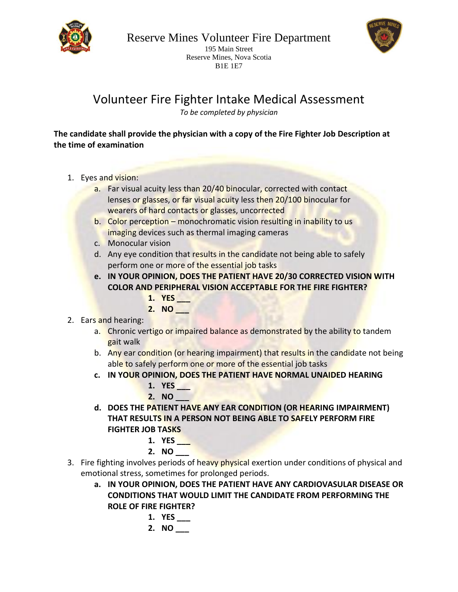

195 Main Street Reserve Mines, Nova Scotia B1E 1E7

Volunteer Fire Fighter Intake Medical Assessment

*To be completed by physician*

## **The candidate shall provide the physician with a copy of the Fire Fighter Job Description at the time of examination**

- 1. Eyes and vision:
	- a. Far visual acuity less than 20/40 binocular, corrected with contact lenses or glasses, or far visual acuity less then 20/100 binocular for wearers of hard contacts or glasses, uncorrected
	- b. Color perception monochromatic vision resulting in inability to us imaging devices such as thermal imaging cameras
	- c. Monocular vision
	- d. Any eye condition that results in the candidate not being able to safely perform one or more of the essential job tasks
	- **e. IN YOUR OPINION, DOES THE PATIENT HAVE 20/30 CORRECTED VISION WITH COLOR AND PERIPHERAL VISION ACCEPTABLE FOR THE FIRE FIGHTER?**
		- **1. YES \_\_\_**
		- **2. NO \_\_\_**
- 2. Ears and hearing:
	- a. Chronic vertigo or impaired balance as demonstrated by the ability to tandem gait walk
	- b. Any ear condition (or hearing impairment) that results in the candidate not being able to safely perform one or more of the essential job tasks
	- **c. IN YOUR OPINION, DOES THE PATIENT HAVE NORMAL UNAIDED HEARING**
		- **1. YES \_\_\_ 2. NO \_\_\_**
	- **d. DOES THE PATIENT HAVE ANY EAR CONDITION (OR HEARING IMPAIRMENT) THAT RESULTS IN A PERSON NOT BEING ABLE TO SAFELY PERFORM FIRE FIGHTER JOB TASKS**

1. 
$$
YES_{\_}
$$

- **2. NO \_\_\_**
- 3. Fire fighting involves periods of heavy physical exertion under conditions of physical and emotional stress, sometimes for prolonged periods.
	- **a. IN YOUR OPINION, DOES THE PATIENT HAVE ANY CARDIOVASULAR DISEASE OR CONDITIONS THAT WOULD LIMIT THE CANDIDATE FROM PERFORMING THE ROLE OF FIRE FIGHTER?**